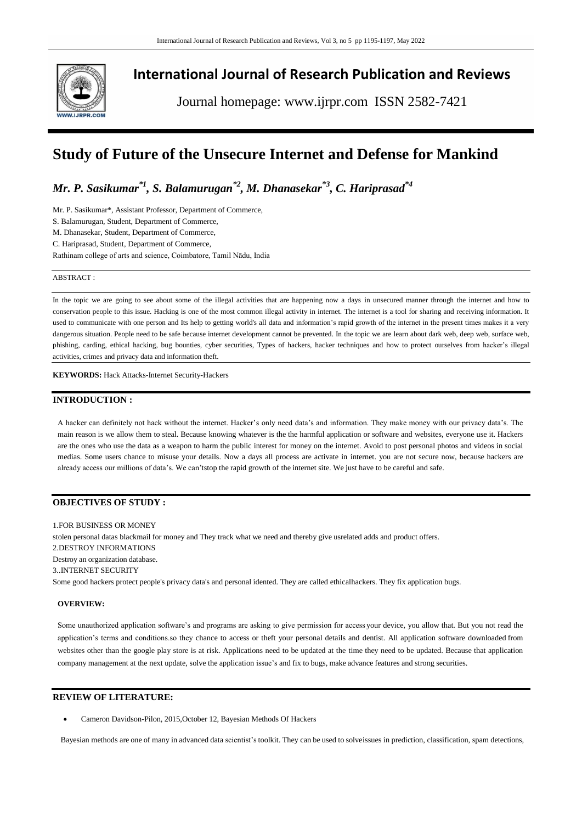

## **International Journal of Research Publication and Reviews**

Journal homepage: www.ijrpr.com ISSN 2582-7421

# **Study of Future of the Unsecure Internet and Defense for Mankind**

*Mr. P. Sasikumar\*1, S. Balamurugan\*2, M. Dhanasekar\*3, C. Hariprasad\*4*

Mr. P. Sasikumar\*, Assistant Professor, Department of Commerce,

S. Balamurugan, Student, Department of Commerce,

M. Dhanasekar, Student, Department of Commerce,

C. Hariprasad, Student, Department of Commerce,

Rathinam college of arts and science, Coimbatore, Tamil Nādu, India

#### ABSTRACT :

In the topic we are going to see about some of the illegal activities that are happening now a days in unsecured manner through the internet and how to conservation people to this issue. Hacking is one of the most common illegal activity in internet. The internet is a tool for sharing and receiving information. It used to communicate with one person and Its help to getting world's all data and information's rapid growth of the internet in the present times makes it a very dangerous situation. People need to be safe because internet development cannot be prevented. In the topic we are learn about dark web, deep web, surface web, phishing, carding, ethical hacking, bug bounties, cyber securities, Types of hackers, hacker techniques and how to protect ourselves from hacker's illegal activities, crimes and privacy data and information theft.

**KEYWORDS:** Hack Attacks-Internet Security-Hackers

## **INTRODUCTION :**

A hacker can definitely not hack without the internet. Hacker's only need data's and information. They make money with our privacy data's. The main reason is we allow them to steal. Because knowing whatever is the the harmful application or software and websites, everyone use it. Hackers are the ones who use the data as a weapon to harm the public interest for money on the internet. Avoid to post personal photos and videos in social medias. Some users chance to misuse your details. Now a days all process are activate in internet. you are not secure now, because hackers are already access our millions of data's. We can'tstop the rapid growth of the internet site. We just have to be careful and safe.

## **OBJECTIVES OF STUDY :**

1.FOR BUSINESS OR MONEY stolen personal datas blackmail for money and They track what we need and thereby give usrelated adds and product offers. 2.DESTROY INFORMATIONS Destroy an organization database. 3..INTERNET SECURITY Some good hackers protect people's privacy data's and personal idented. They are called ethicalhackers. They fix application bugs.

### **OVERVIEW:**

Some unauthorized application software's and programs are asking to give permission for access your device, you allow that. But you not read the application's terms and conditions.so they chance to access or theft your personal details and dentist. All application software downloaded from websites other than the google play store is at risk. Applications need to be updated at the time they need to be updated. Because that application company management at the next update, solve the application issue's and fix to bugs, make advance features and strong securities.

## **REVIEW OF LITERATURE:**

Cameron Davidson-Pilon, 2015,October 12, Bayesian Methods Of Hackers

Bayesian methods are one of many in advanced data scientist's toolkit. They can be used to solveissues in prediction, classification, spam detections,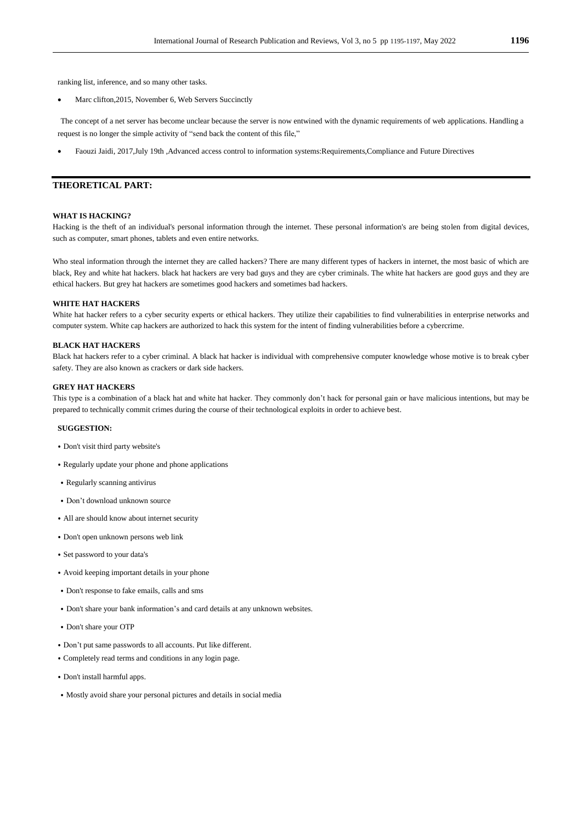ranking list, inference, and so many other tasks.

Marc clifton,2015, November 6, Web Servers Succinctly

The concept of a net server has become unclear because the server is now entwined with the dynamic requirements of web applications. Handling a request is no longer the simple activity of "send back the content of this file,"

Faouzi Jaidi, 2017,July 19th ,Advanced access control to information systems:Requirements,Compliance and Future Directives

### **THEORETICAL PART:**

#### **WHAT IS HACKING?**

Hacking is the theft of an individual's personal information through the internet. These personal information's are being stolen from digital devices, such as computer, smart phones, tablets and even entire networks.

Who steal information through the internet they are called hackers? There are many different types of hackers in internet, the most basic of which are black, Rey and white hat hackers. black hat hackers are very bad guys and they are cyber criminals. The white hat hackers are good guys and they are ethical hackers. But grey hat hackers are sometimes good hackers and sometimes bad hackers.

#### **WHITE HAT HACKERS**

White hat hacker refers to a cyber security experts or ethical hackers. They utilize their capabilities to find vulnerabilities in enterprise networks and computer system. White cap hackers are authorized to hack this system for the intent of finding vulnerabilities before a cybercrime.

#### **BLACK HAT HACKERS**

Black hat hackers refer to a cyber criminal. A black hat hacker is individual with comprehensive computer knowledge whose motive is to break cyber safety. They are also known as crackers or dark side hackers.

#### **GREY HAT HACKERS**

This type is a combination of a black hat and white hat hacker. They commonly don't hack for personal gain or have malicious intentions, but may be prepared to technically commit crimes during the course of their technological exploits in order to achieve best.

#### **SUGGESTION:**

- ⦁ Don't visit third party website's
- ⦁ Regularly update your phone and phone applications
- ⦁ Regularly scanning antivirus
- ⦁ Don't download unknown source
- ⦁ All are should know about internet security
- ⦁ Don't open unknown persons web link
- ⦁ Set password to your data's
- ⦁ Avoid keeping important details in your phone
- ⦁ Don't response to fake emails, calls and sms
- ⦁ Don't share your bank information's and card details at any unknown websites.
- ⦁ Don't share your OTP
- ⦁ Don't put same passwords to all accounts. Put like different.
- ⦁ Completely read terms and conditions in any login page.
- ⦁ Don't install harmful apps.
- ⦁ Mostly avoid share your personal pictures and details in social media